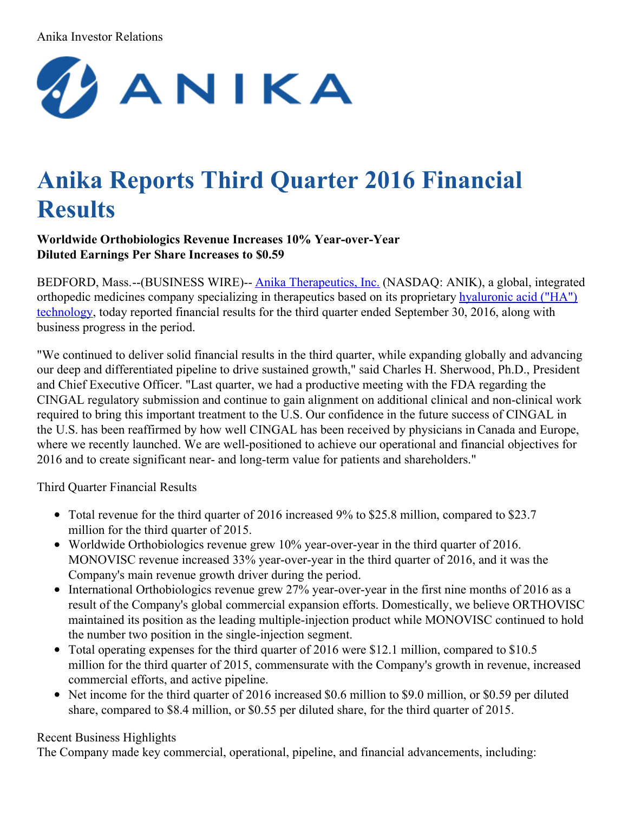#### Anika Investor Relations



# **Anika Reports Third Quarter 2016 Financial Results**

#### **Worldwide Orthobiologics Revenue Increases 10% Year-over-Year Diluted Earnings Per Share Increases to \$0.59**

BEDFORD, Mass.--(BUSINESS WIRE)-- Anika [Therapeutics,](http://cts.businesswire.com/ct/CT?id=smartlink&url=http%3A%2F%2Fwww.anikatherapeutics.com&esheet=51447721&newsitemid=20161026006717&lan=en-US&anchor=Anika+Therapeutics%2C+Inc.&index=1&md5=be426e7e6dedc19e1710b83390735190) Inc. (NASDAQ: ANIK), a global, integrated orthopedic medicines company specializing in [therapeutics](http://cts.businesswire.com/ct/CT?id=smartlink&url=http%3A%2F%2Fwww.anikatherapeutics.com%2Ftechnology%2Fha-platform%2F&esheet=51447721&newsitemid=20161026006717&lan=en-US&anchor=hyaluronic+acid+%28%E2%80%9CHA%E2%80%9D%29+technology&index=2&md5=c1127458a2a9154e6685c9fefd189c27) based on its proprietary hyaluronic acid ("HA") technology, today reported financial results for the third quarter ended September 30, 2016, along with business progress in the period.

"We continued to deliver solid financial results in the third quarter, while expanding globally and advancing our deep and differentiated pipeline to drive sustained growth," said Charles H. Sherwood, Ph.D., President and Chief Executive Officer. "Last quarter, we had a productive meeting with the FDA regarding the CINGAL regulatory submission and continue to gain alignment on additional clinical and non-clinical work required to bring this important treatment to the U.S. Our confidence in the future success of CINGAL in the U.S. has been reaffirmed by how well CINGAL has been received by physicians in Canada and Europe, where we recently launched. We are well-positioned to achieve our operational and financial objectives for 2016 and to create significant near- and long-term value for patients and shareholders."

Third Quarter Financial Results

- Total revenue for the third quarter of 2016 increased 9% to \$25.8 million, compared to \$23.7 million for the third quarter of 2015.
- Worldwide Orthobiologics revenue grew 10% year-over-year in the third quarter of 2016. MONOVISC revenue increased 33% year-over-year in the third quarter of 2016, and it was the Company's main revenue growth driver during the period.
- International Orthobiologics revenue grew 27% year-over-year in the first nine months of 2016 as a result of the Company's global commercial expansion efforts. Domestically, we believe ORTHOVISC maintained its position as the leading multiple-injection product while MONOVISC continued to hold the number two position in the single-injection segment.
- Total operating expenses for the third quarter of 2016 were \$12.1 million, compared to \$10.5 million for the third quarter of 2015, commensurate with the Company's growth in revenue, increased commercial efforts, and active pipeline.
- Net income for the third quarter of 2016 increased \$0.6 million to \$9.0 million, or \$0.59 per diluted share, compared to \$8.4 million, or \$0.55 per diluted share, for the third quarter of 2015.

## Recent Business Highlights

The Company made key commercial, operational, pipeline, and financial advancements, including: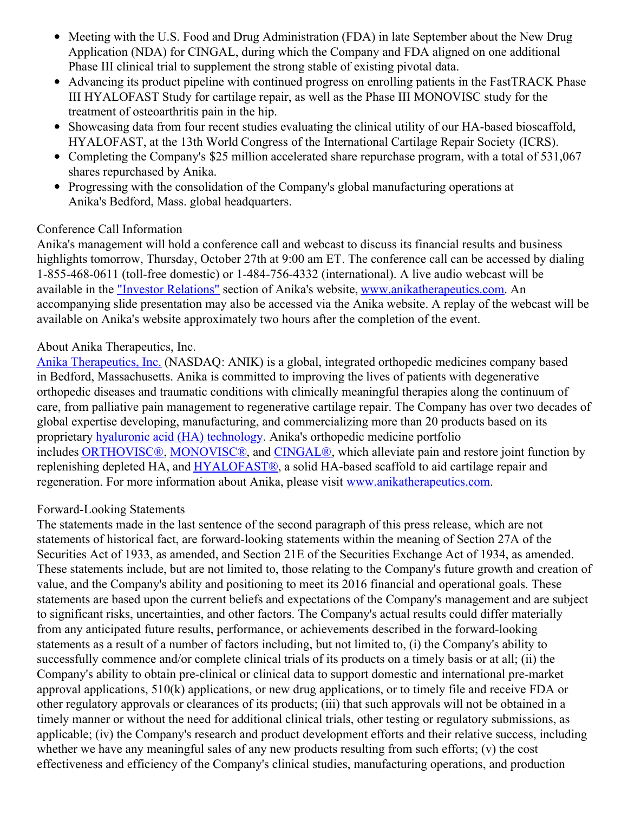- Meeting with the U.S. Food and Drug Administration (FDA) in late September about the New Drug Application (NDA) for CINGAL, during which the Company and FDA aligned on one additional Phase III clinical trial to supplement the strong stable of existing pivotal data.
- Advancing its product pipeline with continued progress on enrolling patients in the FastTRACK Phase III HYALOFAST Study for cartilage repair, as well as the Phase III MONOVISC study for the treatment of osteoarthritis pain in the hip.
- Showcasing data from four recent studies evaluating the clinical utility of our HA-based bioscaffold, HYALOFAST, at the 13th World Congress of the International Cartilage Repair Society (ICRS).
- Completing the Company's \$25 million accelerated share repurchase program, with a total of 531,067 shares repurchased by Anika.
- Progressing with the consolidation of the Company's global manufacturing operations at Anika's Bedford, Mass. global headquarters.

# Conference Call Information

Anika's management will hold a conference call and webcast to discuss its financial results and business highlights tomorrow, Thursday, October 27th at 9:00 am ET. The conference call can be accessed by dialing 1-855-468-0611 (toll-free domestic) or 1-484-756-4332 (international). A live audio webcast will be available in the "Investor [Relations"](http://cts.businesswire.com/ct/CT?id=smartlink&url=http%3A%2F%2Fir.anikatherapeutics.com%2Fevents.cfm&esheet=51447721&newsitemid=20161026006717&lan=en-US&anchor=%22Investor+Relations%22&index=3&md5=a22d5e496b6380e43f176700000b7c61) section of Anika's website, [www.anikatherapeutics.com](http://cts.businesswire.com/ct/CT?id=smartlink&url=http%3A%2F%2Fwww.anikatherapeutics.com%2Findex.html&esheet=51447721&newsitemid=20161026006717&lan=en-US&anchor=www.anikatherapeutics.com&index=4&md5=f9b79a28742f76925ec9a57aaee4c984). An accompanying slide presentation may also be accessed via the Anika website. A replay of the webcast will be available on Anika's website approximately two hours after the completion of the event.

# About Anika Therapeutics, Inc.

Anika [Therapeutics,](http://cts.businesswire.com/ct/CT?id=smartlink&url=http%3A%2F%2Fwww.anikatherapeutics.com&esheet=51447721&newsitemid=20161026006717&lan=en-US&anchor=Anika+Therapeutics%2C+Inc.&index=5&md5=8758eac3e8959380cdcd907c546786dd) Inc. (NASDAQ: ANIK) is a global, integrated orthopedic medicines company based in Bedford, Massachusetts. Anika is committed to improving the lives of patients with degenerative orthopedic diseases and traumatic conditions with clinically meaningful therapies along the continuum of care, from palliative pain management to regenerative cartilage repair. The Company has over two decades of global expertise developing, manufacturing, and commercializing more than 20 products based on its proprietary hyaluronic acid (HA) [technology](http://cts.businesswire.com/ct/CT?id=smartlink&url=http%3A%2F%2Fwww.anikatherapeutics.com%2Ftechnology%2Fha-platform%2F&esheet=51447721&newsitemid=20161026006717&lan=en-US&anchor=hyaluronic+acid+%28HA%29+technology&index=6&md5=b02733a93c3e793ce6f00f502e6f6925). Anika's orthopedic medicine portfolio includes [ORTHOVISC®](http://cts.businesswire.com/ct/CT?id=smartlink&url=http%3A%2F%2Fwww.anikatherapeutics.com%2Fproducts%2Forthobiologics%2Forthovisc%2F&esheet=51447721&newsitemid=20161026006717&lan=en-US&anchor=ORTHOVISC%C2%AE&index=7&md5=a01c7bebe7eaa2ea61d662318444f663), [MONOVISC®](http://cts.businesswire.com/ct/CT?id=smartlink&url=http%3A%2F%2Fwww.anikatherapeutics.com%2Fproducts%2Forthobiologics%2Fmonovisc%2F&esheet=51447721&newsitemid=20161026006717&lan=en-US&anchor=MONOVISC%C2%AE&index=8&md5=318a3ab782b793c3c4a1bc692e85ab24), and [CINGAL®](http://cts.businesswire.com/ct/CT?id=smartlink&url=http%3A%2F%2Fwww.cingal.com%2F&esheet=51447721&newsitemid=20161026006717&lan=en-US&anchor=CINGAL%C2%AE&index=9&md5=bf650812f6ce4b397a881e1ff822e27d), which alleviate pain and restore joint function by replenishing depleted HA, and [HYALOFAST®](http://cts.businesswire.com/ct/CT?id=smartlink&url=http%3A%2F%2Fhyalofast.anikatherapeutics.com%2Fen%2F&esheet=51447721&newsitemid=20161026006717&lan=en-US&anchor=HYALOFAST%C2%AE&index=10&md5=5682e80ac37db6ff7c93c016e94686af), a solid HA-based scaffold to aid cartilage repair and regeneration. For more information about Anika, please visit [www.anikatherapeutics.com](http://cts.businesswire.com/ct/CT?id=smartlink&url=http%3A%2F%2Fwww.anikatherapeutics.com&esheet=51447721&newsitemid=20161026006717&lan=en-US&anchor=www.anikatherapeutics.com&index=11&md5=bb45fb7d783f8aa7386e65ff677b5a7c).

## Forward-Looking Statements

The statements made in the last sentence of the second paragraph of this press release, which are not statements of historical fact, are forward-looking statements within the meaning of Section 27A of the Securities Act of 1933, as amended, and Section 21E of the Securities Exchange Act of 1934, as amended. These statements include, but are not limited to, those relating to the Company's future growth and creation of value, and the Company's ability and positioning to meet its 2016 financial and operational goals. These statements are based upon the current beliefs and expectations of the Company's management and are subject to significant risks, uncertainties, and other factors. The Company's actual results could differ materially from any anticipated future results, performance, or achievements described in the forward-looking statements as a result of a number of factors including, but not limited to, (i) the Company's ability to successfully commence and/or complete clinical trials of its products on a timely basis or at all; (ii) the Company's ability to obtain pre-clinical or clinical data to support domestic and international pre-market approval applications, 510(k) applications, or new drug applications, or to timely file and receive FDA or other regulatory approvals or clearances of its products; (iii) that such approvals will not be obtained in a timely manner or without the need for additional clinical trials, other testing or regulatory submissions, as applicable; (iv) the Company's research and product development efforts and their relative success, including whether we have any meaningful sales of any new products resulting from such efforts; (v) the cost effectiveness and efficiency of the Company's clinical studies, manufacturing operations, and production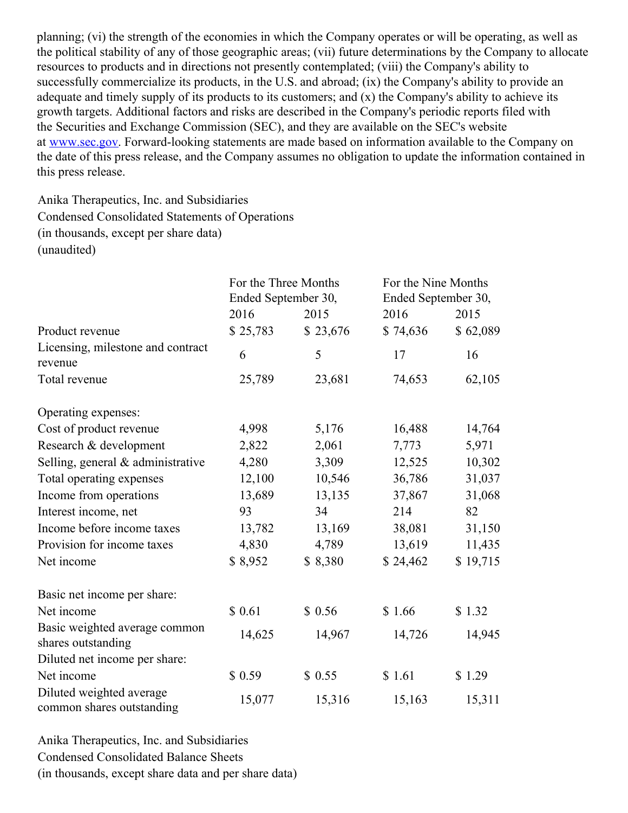planning; (vi) the strength of the economies in which the Company operates or will be operating, as well as the political stability of any of those geographic areas; (vii) future determinations by the Company to allocate resources to products and in directions not presently contemplated; (viii) the Company's ability to successfully commercialize its products, in the U.S. and abroad; (ix) the Company's ability to provide an adequate and timely supply of its products to its customers; and (x) the Company's ability to achieve its growth targets. Additional factors and risks are described in the Company's periodic reports filed with the Securities and Exchange Commission (SEC), and they are available on the SEC's website at [www.sec.gov](http://cts.businesswire.com/ct/CT?id=smartlink&url=http%3A%2F%2Fwww.sec.gov&esheet=51447721&newsitemid=20161026006717&lan=en-US&anchor=www.sec.gov&index=12&md5=4991943d015ca06e3ea5f65753161381). Forward-looking statements are made based on information available to the Company on the date of this press release, and the Company assumes no obligation to update the information contained in this press release.

Anika Therapeutics, Inc. and Subsidiaries Condensed Consolidated Statements of Operations (in thousands, except per share data) (unaudited)

|                                                       | For the Three Months<br>Ended September 30, |          | For the Nine Months<br>Ended September 30, |          |  |  |
|-------------------------------------------------------|---------------------------------------------|----------|--------------------------------------------|----------|--|--|
|                                                       | 2016                                        | 2015     | 2016                                       | 2015     |  |  |
| Product revenue                                       | \$25,783                                    | \$23,676 | \$74,636                                   | \$62,089 |  |  |
| Licensing, milestone and contract<br>revenue          | 6                                           | 5        | 17                                         | 16       |  |  |
| Total revenue                                         | 25,789                                      | 23,681   | 74,653                                     | 62,105   |  |  |
| Operating expenses:                                   |                                             |          |                                            |          |  |  |
| Cost of product revenue                               | 4,998                                       | 5,176    | 16,488                                     | 14,764   |  |  |
| Research & development                                | 2,822                                       | 2,061    | 7,773                                      | 5,971    |  |  |
| Selling, general & administrative                     | 4,280                                       | 3,309    | 12,525                                     | 10,302   |  |  |
| Total operating expenses                              | 12,100                                      | 10,546   | 36,786                                     | 31,037   |  |  |
| Income from operations                                | 13,689                                      | 13,135   | 37,867                                     | 31,068   |  |  |
| Interest income, net                                  | 93                                          | 34       | 214                                        | 82       |  |  |
| Income before income taxes                            | 13,782                                      | 13,169   | 38,081                                     | 31,150   |  |  |
| Provision for income taxes                            | 4,830                                       | 4,789    | 13,619                                     | 11,435   |  |  |
| Net income                                            | \$8,952                                     | \$8,380  | \$24,462                                   | \$19,715 |  |  |
| Basic net income per share:                           |                                             |          |                                            |          |  |  |
| Net income                                            | \$0.61                                      | \$0.56   | \$1.66                                     | \$1.32   |  |  |
| Basic weighted average common<br>shares outstanding   | 14,625                                      | 14,967   | 14,726                                     | 14,945   |  |  |
| Diluted net income per share:                         |                                             |          |                                            |          |  |  |
| Net income                                            | \$0.59                                      | \$0.55   | \$1.61                                     | \$1.29   |  |  |
| Diluted weighted average<br>common shares outstanding | 15,077                                      | 15,316   | 15,163                                     | 15,311   |  |  |

Anika Therapeutics, Inc. and Subsidiaries Condensed Consolidated Balance Sheets (in thousands, except share data and per share data)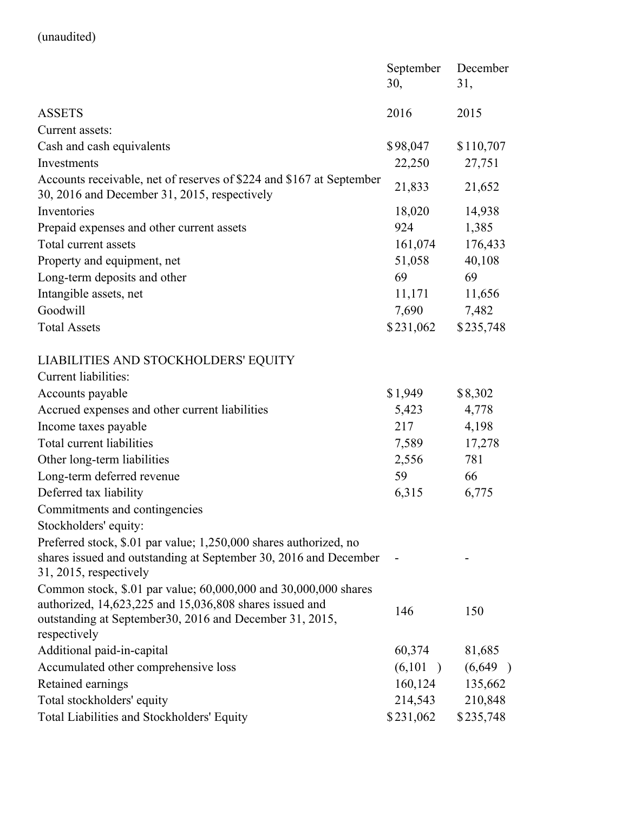# (unaudited)

|                                                                                                                                                                    | September<br>30, | December<br>31, |  |  |
|--------------------------------------------------------------------------------------------------------------------------------------------------------------------|------------------|-----------------|--|--|
| <b>ASSETS</b>                                                                                                                                                      | 2016             | 2015            |  |  |
| Current assets:                                                                                                                                                    |                  |                 |  |  |
| Cash and cash equivalents                                                                                                                                          | \$98,047         | \$110,707       |  |  |
| Investments                                                                                                                                                        | 22,250           | 27,751          |  |  |
| Accounts receivable, net of reserves of \$224 and \$167 at September<br>30, 2016 and December 31, 2015, respectively                                               | 21,833           | 21,652          |  |  |
| Inventories                                                                                                                                                        | 18,020           | 14,938          |  |  |
| Prepaid expenses and other current assets                                                                                                                          | 924              | 1,385           |  |  |
| Total current assets                                                                                                                                               | 161,074          | 176,433         |  |  |
| Property and equipment, net                                                                                                                                        | 51,058           | 40,108          |  |  |
| Long-term deposits and other                                                                                                                                       | 69               | 69              |  |  |
| Intangible assets, net                                                                                                                                             | 11,171           | 11,656          |  |  |
| Goodwill                                                                                                                                                           | 7,690            | 7,482           |  |  |
| <b>Total Assets</b>                                                                                                                                                | \$231,062        | \$235,748       |  |  |
| LIABILITIES AND STOCKHOLDERS' EQUITY                                                                                                                               |                  |                 |  |  |
| Current liabilities:                                                                                                                                               |                  |                 |  |  |
| Accounts payable                                                                                                                                                   | \$1,949          | \$8,302         |  |  |
| Accrued expenses and other current liabilities                                                                                                                     | 5,423            | 4,778           |  |  |
| Income taxes payable                                                                                                                                               | 217              | 4,198           |  |  |
| Total current liabilities                                                                                                                                          | 7,589            | 17,278          |  |  |
| Other long-term liabilities                                                                                                                                        | 2,556            | 781             |  |  |
| Long-term deferred revenue                                                                                                                                         | 59               | 66              |  |  |
| Deferred tax liability                                                                                                                                             | 6,315            | 6,775           |  |  |
| Commitments and contingencies                                                                                                                                      |                  |                 |  |  |
| Stockholders' equity:                                                                                                                                              |                  |                 |  |  |
| Preferred stock, \$.01 par value; 1,250,000 shares authorized, no<br>shares issued and outstanding at September 30, 2016 and December<br>$31, 2015$ , respectively |                  |                 |  |  |
| Common stock, \$.01 par value; 60,000,000 and 30,000,000 shares                                                                                                    |                  |                 |  |  |
| authorized, 14,623,225 and 15,036,808 shares issued and                                                                                                            | 146              | 150             |  |  |
| outstanding at September 30, 2016 and December 31, 2015,<br>respectively                                                                                           |                  |                 |  |  |
| Additional paid-in-capital                                                                                                                                         | 60,374           | 81,685          |  |  |
| Accumulated other comprehensive loss                                                                                                                               | (6,101)          | (6,649)         |  |  |
| Retained earnings                                                                                                                                                  | 160,124          | 135,662         |  |  |
| Total stockholders' equity                                                                                                                                         | 214,543          | 210,848         |  |  |
| Total Liabilities and Stockholders' Equity                                                                                                                         | \$231,062        | \$235,748       |  |  |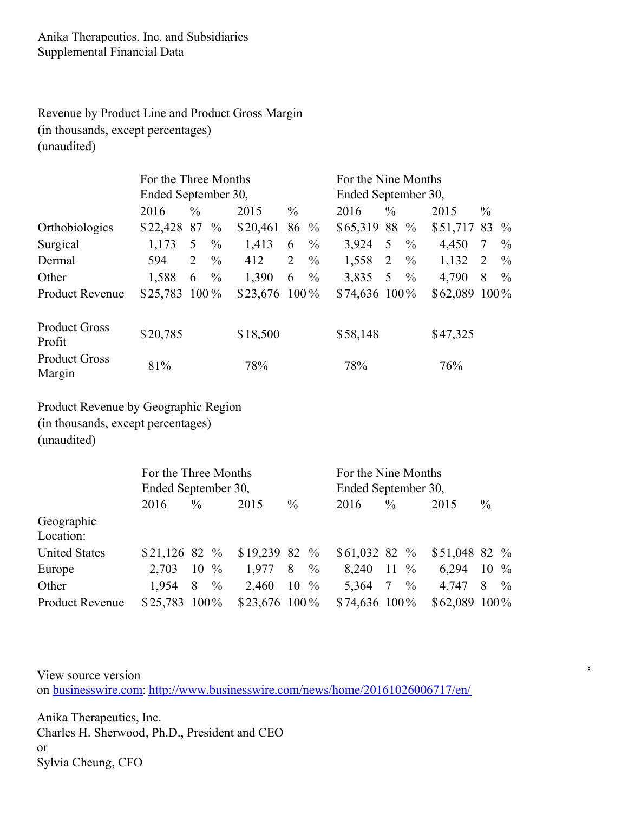Anika Therapeutics, Inc. and Subsidiaries Supplemental Financial Data

Revenue by Product Line and Product Gross Margin (in thousands, except percentages) (unaudited)

|                                | For the Three Months |               |               |                 |               |                     | For the Nine Months |               |               |               |               |               |
|--------------------------------|----------------------|---------------|---------------|-----------------|---------------|---------------------|---------------------|---------------|---------------|---------------|---------------|---------------|
|                                | Ended September 30,  |               |               |                 |               | Ended September 30, |                     |               |               |               |               |               |
|                                | 2016                 | $\frac{0}{0}$ |               | 2015            | $\frac{0}{0}$ |                     | 2016                | $\frac{0}{0}$ |               | 2015          | $\frac{0}{0}$ |               |
| Orthobiologics                 | \$22,428             | 87            | $\%$          | \$20,461        |               | $86\frac{9}{6}$     | \$65,319 88 %       |               |               | \$51,717 83   |               | $\frac{0}{0}$ |
| Surgical                       | 1,173                | 5             | $\%$          | 1,413           | 6             | $\frac{0}{0}$       | 3,924               | 5             | $\frac{0}{0}$ | 4,450         | 7             | $\%$          |
| Dermal                         | 594                  | 2             | $\frac{0}{0}$ | 412             | 2             | $\frac{0}{0}$       | 1,558               | 2             | $\frac{0}{0}$ | 1,132         | 2             | $\%$          |
| Other                          | 1,588                | 6             | $\frac{0}{0}$ | 1,390           | 6             | $\frac{0}{0}$       | 3,835               | 5 $\%$        |               | 4,790         | 8             | $\%$          |
| <b>Product Revenue</b>         | \$25,783             | $100\%$       |               | $$23,676$ 100 % |               |                     | $$74,636$ 100%      |               |               | \$62,089 100% |               |               |
| <b>Product Gross</b><br>Profit | \$20,785             |               |               | \$18,500        |               |                     | \$58,148            |               |               | \$47,325      |               |               |
| <b>Product Gross</b><br>Margin | 81%                  |               |               | 78%             |               |                     | 78%                 |               |               | 76%           |               |               |

Product Revenue by Geographic Region (in thousands, except percentages) (unaudited)

|                        | For the Three Months |           |                 |                  | For the Nine Months |                  |                |                    |  |  |
|------------------------|----------------------|-----------|-----------------|------------------|---------------------|------------------|----------------|--------------------|--|--|
|                        | Ended September 30,  |           |                 |                  | Ended September 30, |                  |                |                    |  |  |
|                        | 2016                 | $\%$      | 2015            | $\frac{0}{0}$    | 2016                | $\%$             | 2015           | $\frac{0}{0}$      |  |  |
| Geographic             |                      |           |                 |                  |                     |                  |                |                    |  |  |
| Location:              |                      |           |                 |                  |                     |                  |                |                    |  |  |
| <b>United States</b>   | $$21,126$ 82 %       |           | $$19,239$ 82 %  |                  | $$61,032$ 82 %      |                  | \$51,048 82 %  |                    |  |  |
| Europe                 | 2,703                | $10\%$    | 1,977           | 8<br>$\%$        | 8,240               | $11 \frac{9}{6}$ | 6,294          | $10 \frac{9}{6}$   |  |  |
| Other                  | 1,954                | 8<br>$\%$ | 2,460           | $10 \frac{9}{6}$ | 5,364               | $7 \frac{9}{6}$  | 4,747          | $\frac{0}{0}$<br>8 |  |  |
| <b>Product Revenue</b> | $$25,783$ 100%       |           | $$23,676$ 100 % |                  | $$74,636$ 100%      |                  | $$62,089$ 100% |                    |  |  |

View source version on [businesswire.com:](http://businesswire.com/) <http://www.businesswire.com/news/home/20161026006717/en/>  $\blacksquare$ 

Anika Therapeutics, Inc. Charles H. Sherwood, Ph.D., President and CEO or Sylvia Cheung, CFO